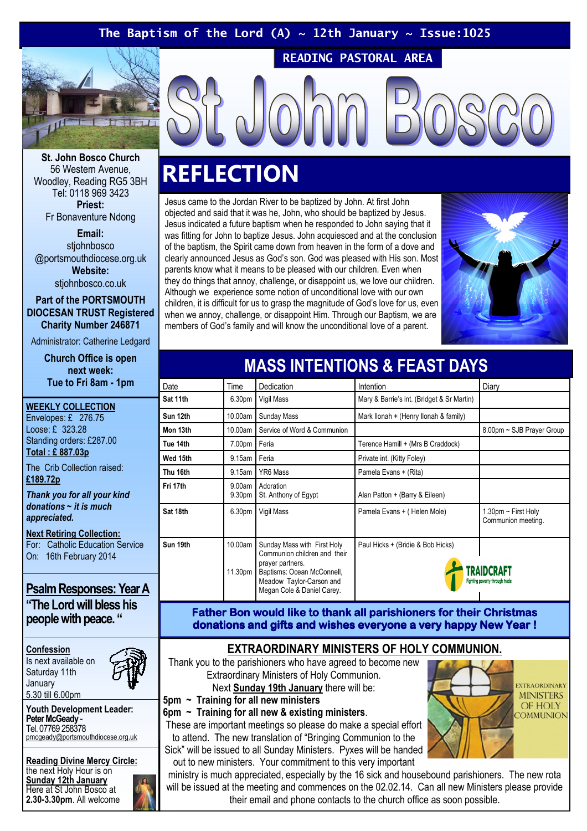## The Baptism of the Lord (A)  $\sim$  12th January  $\sim$  Issue:1025

READING PASTORAL AREA



St. John Bosco Church 56 Western Avenue, Woodley, Reading RG5 3BH Tel: 0118 969 3423 Priest: Fr Bonaventure Ndong

Email: stiohnbosco @portsmouthdiocese.org.uk Website: stjohnbosco.co.uk

Part of the PORTSMOUTH DIOCESAN TRUST Registered Charity Number 246871

Administrator: Catherine Ledgard

Church Office is open next week: Tue to Fri 8am - 1pm

WEEKLY COLLECTION Envelopes: £ 276.75 Loose: £ 323.28 Standing orders: £287.00 Total : £ 887.03p

The Crib Collection raised: £189.72p

Thank you for all your kind donations  $\sim$  it is much appreciated.

Next Retiring Collection: For: Catholic Education Service On: 16th February 2014

### Psalm Responses: Year A "The Lord will bless his

people with peace. "

Confession Is next available on Saturday 11th January 5.30 till 6.00pm

Youth Development Leader: Peter McGeady - Tel. 07769 258378 pmcgeady@portsmouthdiocese.org.uk

Reading Divine Mercy Circle: the next Holy Hour is on Sunday 12th January Here at St John Bosco at 2.30-3.30pm. All welcome

# **REFLECTION**

Jesus came to the Jordan River to be baptized by John. At first John objected and said that it was he, John, who should be baptized by Jesus. Jesus indicated a future baptism when he responded to John saying that it was fitting for John to baptize Jesus. John acquiesced and at the conclusion of the baptism, the Spirit came down from heaven in the form of a dove and clearly announced Jesus as God's son. God was pleased with His son. Most parents know what it means to be pleased with our children. Even when they do things that annoy, challenge, or disappoint us, we love our children. Although we experience some notion of unconditional love with our own children, it is difficult for us to grasp the magnitude of God's love for us, even when we annoy, challenge, or disappoint Him. Through our Baptism, we are members of God's family and will know the unconditional love of a parent.



| Date     | Time               | Dedication                                                                                                                                                              | Intention                                  | Diary                                        |
|----------|--------------------|-------------------------------------------------------------------------------------------------------------------------------------------------------------------------|--------------------------------------------|----------------------------------------------|
| Sat 11th | 6.30 <sub>pm</sub> | Vigil Mass                                                                                                                                                              | Mary & Barrie's int. (Bridget & Sr Martin) |                                              |
| Sun 12th | 10.00am            | Sunday Mass                                                                                                                                                             | Mark Ilonah + (Henry Ilonah & family)      |                                              |
| Mon 13th | 10.00am            | Service of Word & Communion                                                                                                                                             |                                            | 8.00pm ~ SJB Prayer Group                    |
| Tue 14th | 7.00pm Feria       |                                                                                                                                                                         | Terence Hamill + (Mrs B Craddock)          |                                              |
| Wed 15th | 9.15am             | Feria                                                                                                                                                                   | Private int. (Kitty Foley)                 |                                              |
| Thu 16th | 9.15am             | YR6 Mass                                                                                                                                                                | Pamela Evans + (Rita)                      |                                              |
| Fri 17th | 9.00am<br>9.30pm   | Adoration<br>St. Anthony of Egypt                                                                                                                                       | Alan Patton + (Barry & Eileen)             |                                              |
| Sat 18th | 6.30pm             | Vigil Mass                                                                                                                                                              | Pamela Evans + (Helen Mole)                | 1.30pm ~ First Holy<br>Communion meeting.    |
| Sun 19th | 10.00am<br>11.30pm | Sunday Mass with First Holy<br>Communion children and their<br>prayer partners.<br>Baptisms: Ocean McConnell,<br>Meadow Taylor-Carson and<br>Megan Cole & Daniel Carey. | Paul Hicks + (Bridie & Bob Hicks)          | TRAIDCRAFT<br>Fighting poverty through trade |

MASS INTENTIONS & FEAST DAYS

Father Bon would like to thank all parishioners for their Christmas donations and gifts and wishes everyone a very happy New Year !

EXTRAORDINARY MINISTERS OF HOLY COMMUNION. Thank you to the parishioners who have agreed to become new Extraordinary Ministers of Holy Communion. Next Sunday 19th January there will be:

5pm ~ Training for all new ministers

6pm  $\sim$  Training for all new & existing ministers.

These are important meetings so please do make a special effort to attend. The new translation of "Bringing Communion to the Sick" will be issued to all Sunday Ministers. Pyxes will be handed out to new ministers. Your commitment to this very important



ministry is much appreciated, especially by the 16 sick and housebound parishioners. The new rota will be issued at the meeting and commences on the 02.02.14. Can all new Ministers please provide their email and phone contacts to the church office as soon possible.